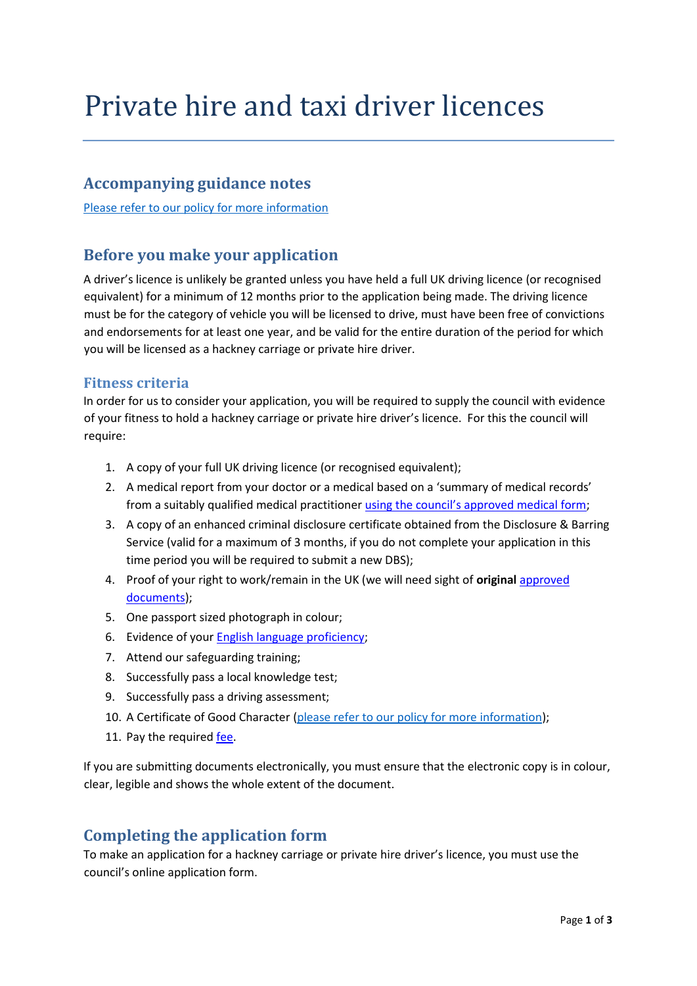# Private hire and taxi driver licences

## **Accompanying guidance notes**

[Please refer to our policy for more information](https://www.cheltenham.gov.uk/downloads/file/1980/licensing_policy_guidance_and_conditions_for_private_hire_and_taxis)

## **Before you make your application**

A driver's licence is unlikely be granted unless you have held a full UK driving licence (or recognised equivalent) for a minimum of 12 months prior to the application being made. The driving licence must be for the category of vehicle you will be licensed to drive, must have been free of convictions and endorsements for at least one year, and be valid for the entire duration of the period for which you will be licensed as a hackney carriage or private hire driver.

## **Fitness criteria**

In order for us to consider your application, you will be required to supply the council with evidence of your fitness to hold a hackney carriage or private hire driver's licence. For this the council will require:

- 1. A copy of your full UK driving licence (or recognised equivalent);
- 2. A medical report from your doctor or a medical based on a 'summary of medical records' from a suitably qualified medical practitioner [using the council's approved medical form](https://www.cheltenham.gov.uk/site/scripts/download_info.php?fileID=3979)[;](https://www.cheltenham.gov.uk/site/scripts/download_info.php?fileID=3979)
- 3. A copy of an enhanced criminal disclosure certificate obtained from the Disclosure & Barring Service (valid for a maximum of 3 months, if you do not complete your application in this time period you will be required to submit a new DBS);
- 4. Proof of your right to work/remain in the UK (we will need sight of **origina[l](https://www.gov.uk/government/publications/acceptable-right-to-work-documents-an-employers-guide)** [approved](https://www.gov.uk/government/publications/acceptable-right-to-work-documents-an-employers-guide) [documents\);](https://www.gov.uk/government/publications/acceptable-right-to-work-documents-an-employers-guide)
- 5. One passport sized photograph in colour;
- 6. Evidence of your English language proficiency;
- 7. Attend our safeguarding training;
- 8. Successfully pass a local knowledge test;
- 9. Successfully pass a driving assessment;
- 10. A Certificate of Good Character [\(please refer to our policy for more information\)](https://www.cheltenham.gov.uk/downloads/file/1980/licensing_policy_guidance_and_conditions_for_private_hire_and_taxis);
- 11. Pay the required [fee.](https://www.cheltenham.gov.uk/info/39/licences_-_taxi_and_private_hire/156/private_hire_and_taxi_driver_licences/4)

If you are submitting documents electronically, you must ensure that the electronic copy is in colour, clear, legible and shows the whole extent of the document.

# **Completing the application form**

To make an application for a hackney carriage or private hire driver's licence, you must use the council's online application form.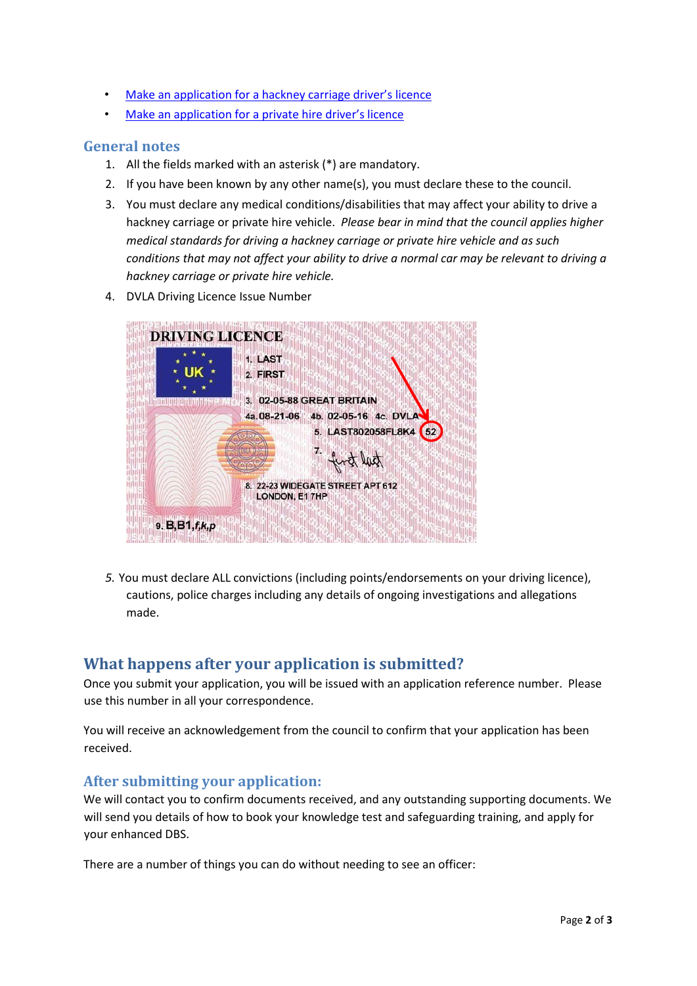- [Make an application for a hackney carriage driver's licence](https://cheltenham.idoxds.com/dsfx/xp/form/launch?xps=DSFX1631608390042)
- [Make an application for a private hire driver's licence](https://cheltenham.idoxds.com/dsfx/xp/form/launch?xps=DSFX1631608406744)

#### **General notes**

- 1. All the fields marked with an asterisk (\*) are mandatory.
- 2. If you have been known by any other name(s), you must declare these to the council.
- 3. You must declare any medical conditions/disabilities that may affect your ability to drive a hackney carriage or private hire vehicle. *Please bear in mind that the council applies higher medical standards for driving a hackney carriage or private hire vehicle and as such conditions that may not affect your ability to drive a normal car may be relevant to driving a hackney carriage or private hire vehicle.*
- 4. DVLA Driving Licence Issue Number



*5.* You must declare ALL convictions (including points/endorsements on your driving licence), cautions, police charges including any details of ongoing investigations and allegations made.

## **What happens after your application is submitted?**

Once you submit your application, you will be issued with an application reference number. Please use this number in all your correspondence.

You will receive an acknowledgement from the council to confirm that your application has been received.

#### **After submitting your application:**

We will contact you to confirm documents received, and any outstanding supporting documents. We will send you details of how to book your knowledge test and safeguarding training, and apply for your enhanced DBS.

There are a number of things you can do without needing to see an officer: